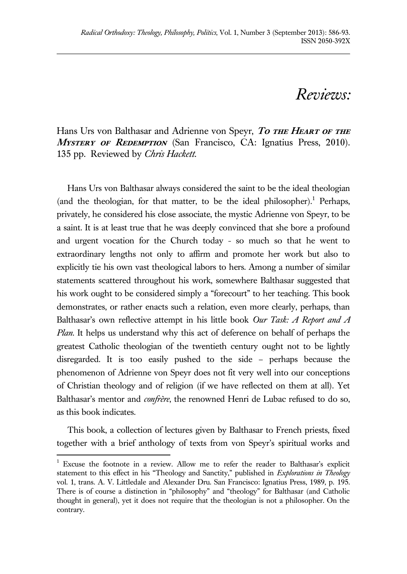## *Reviews:*

Hans Urs von Balthasar and Adrienne von Speyr, To THE HEART OF THE MYSTERY OF REDEMPTION (San Francisco, CA: Ignatius Press, 2010). 135 pp. Reviewed by *Chris Hackett*.

Hans Urs von Balthasar always considered the saint to be the ideal theologian (and the theologian, for that matter, to be the ideal philosopher).<sup>1</sup> Perhaps, privately, he considered his close associate, the mystic Adrienne von Speyr, to be a saint. It is at least true that he was deeply convinced that she bore a profound and urgent vocation for the Church today - so much so that he went to extraordinary lengths not only to affirm and promote her work but also to explicitly tie his own vast theological labors to hers. Among a number of similar statements scattered throughout his work, somewhere Balthasar suggested that his work ought to be considered simply a "forecourt" to her teaching. This book demonstrates, or rather enacts such a relation, even more clearly, perhaps, than Balthasar's own reflective attempt in his little book *Our Task: A Report and A Plan*. It helps us understand why this act of deference on behalf of perhaps the greatest Catholic theologian of the twentieth century ought not to be lightly disregarded. It is too easily pushed to the side – perhaps because the phenomenon of Adrienne von Speyr does not fit very well into our conceptions of Christian theology and of religion (if we have reflected on them at all). Yet Balthasar's mentor and *confrère*, the renowned Henri de Lubac refused to do so, as this book indicates.

This book, a collection of lectures given by Balthasar to French priests, fixed together with a brief anthology of texts from von Speyr's spiritual works and

 $\overline{a}$ 

<sup>&</sup>lt;sup>1</sup> Excuse the footnote in a review. Allow me to refer the reader to Balthasar's explicit statement to this effect in his "Theology and Sanctity," published in *Explorations in Theology* vol. 1, trans. A. V. Littledale and Alexander Dru. San Francisco: Ignatius Press, 1989, p. 195. There is of course a distinction in "philosophy" and "theology" for Balthasar (and Catholic thought in general), yet it does not require that the theologian is not a philosopher. On the contrary.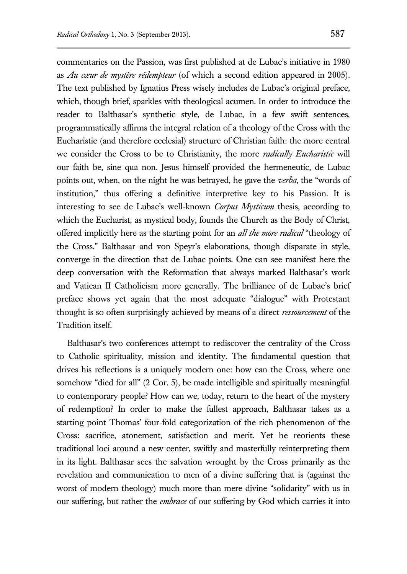commentaries on the Passion, was first published at de Lubac's initiative in 1980 as *Au cœur de mystère rédempteur* (of which a second edition appeared in 2005). The text published by Ignatius Press wisely includes de Lubac's original preface, which, though brief, sparkles with theological acumen. In order to introduce the reader to Balthasar's synthetic style, de Lubac, in a few swift sentences, programmatically affirms the integral relation of a theology of the Cross with the Eucharistic (and therefore ecclesial) structure of Christian faith: the more central we consider the Cross to be to Christianity, the more *radically Eucharistic* will our faith be, sine qua non. Jesus himself provided the hermeneutic, de Lubac points out, when, on the night he was betrayed, he gave the *verba*, the "words of institution," thus offering a definitive interpretive key to his Passion. It is interesting to see de Lubac's well-known *Corpus Mysticum* thesis, according to which the Eucharist, as mystical body, founds the Church as the Body of Christ, offered implicitly here as the starting point for an *all the more radical* "theology of the Cross." Balthasar and von Speyr's elaborations, though disparate in style, converge in the direction that de Lubac points. One can see manifest here the deep conversation with the Reformation that always marked Balthasar's work and Vatican II Catholicism more generally. The brilliance of de Lubac's brief preface shows yet again that the most adequate "dialogue" with Protestant thought is so often surprisingly achieved by means of a direct *ressourcement* of the Tradition itself.

Balthasar's two conferences attempt to rediscover the centrality of the Cross to Catholic spirituality, mission and identity. The fundamental question that drives his reflections is a uniquely modern one: how can the Cross, where one somehow "died for all" (2 Cor. 5), be made intelligible and spiritually meaningful to contemporary people? How can we, today, return to the heart of the mystery of redemption? In order to make the fullest approach, Balthasar takes as a starting point Thomas' four-fold categorization of the rich phenomenon of the Cross: sacrifice, atonement, satisfaction and merit. Yet he reorients these traditional loci around a new center, swiftly and masterfully reinterpreting them in its light. Balthasar sees the salvation wrought by the Cross primarily as the revelation and communication to men of a divine suffering that is (against the worst of modern theology) much more than mere divine "solidarity" with us in our suffering, but rather the *embrace* of our suffering by God which carries it into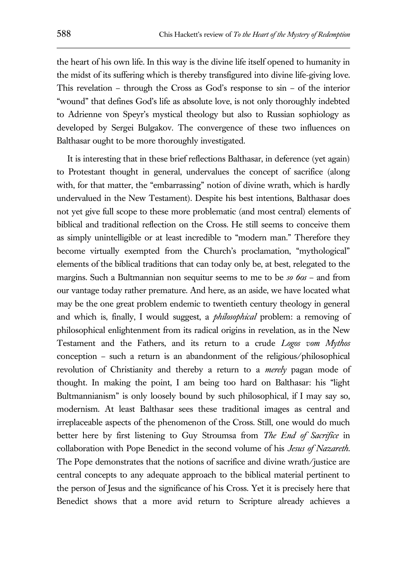the heart of his own life. In this way is the divine life itself opened to humanity in the midst of its suffering which is thereby transfigured into divine life-giving love. This revelation – through the Cross as God's response to sin – of the interior "wound" that defines God's life as absolute love, is not only thoroughly indebted to Adrienne von Speyr's mystical theology but also to Russian sophiology as developed by Sergei Bulgakov. The convergence of these two influences on Balthasar ought to be more thoroughly investigated.

It is interesting that in these brief reflections Balthasar, in deference (yet again) to Protestant thought in general, undervalues the concept of sacrifice (along with, for that matter, the "embarrassing" notion of divine wrath, which is hardly undervalued in the New Testament). Despite his best intentions, Balthasar does not yet give full scope to these more problematic (and most central) elements of biblical and traditional reflection on the Cross. He still seems to conceive them as simply unintelligible or at least incredible to "modern man." Therefore they become virtually exempted from the Church's proclamation, "mythological" elements of the biblical traditions that can today only be, at best, relegated to the margins. Such a Bultmannian non sequitur seems to me to be *so 60s* – and from our vantage today rather premature. And here, as an aside, we have located what may be the one great problem endemic to twentieth century theology in general and which is, finally, I would suggest, a *philosophical* problem: a removing of philosophical enlightenment from its radical origins in revelation, as in the New Testament and the Fathers, and its return to a crude *Logos vom Mythos* conception – such a return is an abandonment of the religious/philosophical revolution of Christianity and thereby a return to a *merely* pagan mode of thought. In making the point, I am being too hard on Balthasar: his "light Bultmannianism" is only loosely bound by such philosophical, if I may say so, modernism. At least Balthasar sees these traditional images as central and irreplaceable aspects of the phenomenon of the Cross. Still, one would do much better here by first listening to Guy Stroumsa from *The End of Sacrifice* in collaboration with Pope Benedict in the second volume of his *Jesus of Nazareth*. The Pope demonstrates that the notions of sacrifice and divine wrath/justice are central concepts to any adequate approach to the biblical material pertinent to the person of Jesus and the significance of his Cross. Yet it is precisely here that Benedict shows that a more avid return to Scripture already achieves a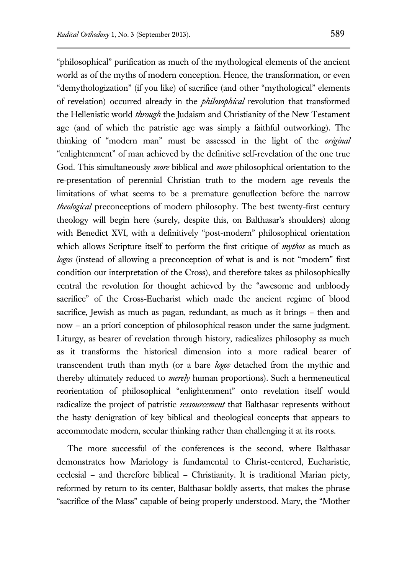"philosophical" purification as much of the mythological elements of the ancient world as of the myths of modern conception. Hence, the transformation, or even "demythologization" (if you like) of sacrifice (and other "mythological" elements of revelation) occurred already in the *philosophical* revolution that transformed the Hellenistic world *through* the Judaism and Christianity of the New Testament age (and of which the patristic age was simply a faithful outworking). The thinking of "modern man" must be assessed in the light of the *original* "enlightenment" of man achieved by the definitive self-revelation of the one true God. This simultaneously *more* biblical and *more* philosophical orientation to the re-presentation of perennial Christian truth to the modern age reveals the limitations of what seems to be a premature genuflection before the narrow *theological* preconceptions of modern philosophy. The best twenty-first century theology will begin here (surely, despite this, on Balthasar's shoulders) along with Benedict XVI, with a definitively "post-modern" philosophical orientation which allows Scripture itself to perform the first critique of *mythos* as much as *logos* (instead of allowing a preconception of what is and is not "modern" first condition our interpretation of the Cross), and therefore takes as philosophically central the revolution for thought achieved by the "awesome and unbloody sacrifice" of the Cross-Eucharist which made the ancient regime of blood sacrifice, Jewish as much as pagan, redundant, as much as it brings – then and now – an a priori conception of philosophical reason under the same judgment. Liturgy, as bearer of revelation through history, radicalizes philosophy as much as it transforms the historical dimension into a more radical bearer of transcendent truth than myth (or a bare *logos* detached from the mythic and thereby ultimately reduced to *merely* human proportions). Such a hermeneutical reorientation of philosophical "enlightenment" onto revelation itself would radicalize the project of patristic *ressourcement* that Balthasar represents without the hasty denigration of key biblical and theological concepts that appears to accommodate modern, secular thinking rather than challenging it at its roots.

The more successful of the conferences is the second, where Balthasar demonstrates how Mariology is fundamental to Christ-centered, Eucharistic, ecclesial – and therefore biblical – Christianity. It is traditional Marian piety, reformed by return to its center, Balthasar boldly asserts, that makes the phrase "sacrifice of the Mass" capable of being properly understood. Mary, the "Mother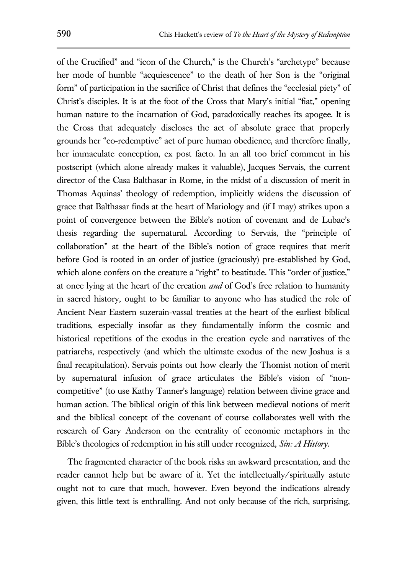of the Crucified" and "icon of the Church," is the Church's "archetype" because her mode of humble "acquiescence" to the death of her Son is the "original form" of participation in the sacrifice of Christ that defines the "ecclesial piety" of Christ's disciples. It is at the foot of the Cross that Mary's initial "fiat," opening human nature to the incarnation of God, paradoxically reaches its apogee. It is the Cross that adequately discloses the act of absolute grace that properly grounds her "co-redemptive" act of pure human obedience, and therefore finally, her immaculate conception, ex post facto. In an all too brief comment in his postscript (which alone already makes it valuable), Jacques Servais, the current director of the Casa Balthasar in Rome, in the midst of a discussion of merit in Thomas Aquinas' theology of redemption, implicitly widens the discussion of grace that Balthasar finds at the heart of Mariology and (if I may) strikes upon a point of convergence between the Bible's notion of covenant and de Lubac's thesis regarding the supernatural. According to Servais, the "principle of collaboration" at the heart of the Bible's notion of grace requires that merit before God is rooted in an order of justice (graciously) pre-established by God, which alone confers on the creature a "right" to beatitude. This "order of justice," at once lying at the heart of the creation *and* of God's free relation to humanity in sacred history, ought to be familiar to anyone who has studied the role of Ancient Near Eastern suzerain-vassal treaties at the heart of the earliest biblical traditions, especially insofar as they fundamentally inform the cosmic and historical repetitions of the exodus in the creation cycle and narratives of the patriarchs, respectively (and which the ultimate exodus of the new Joshua is a final recapitulation). Servais points out how clearly the Thomist notion of merit by supernatural infusion of grace articulates the Bible's vision of "noncompetitive" (to use Kathy Tanner's language) relation between divine grace and human action. The biblical origin of this link between medieval notions of merit and the biblical concept of the covenant of course collaborates well with the research of Gary Anderson on the centrality of economic metaphors in the Bible's theologies of redemption in his still under recognized, *Sin: A History*.

The fragmented character of the book risks an awkward presentation, and the reader cannot help but be aware of it. Yet the intellectually/spiritually astute ought not to care that much, however. Even beyond the indications already given, this little text is enthralling. And not only because of the rich, surprising,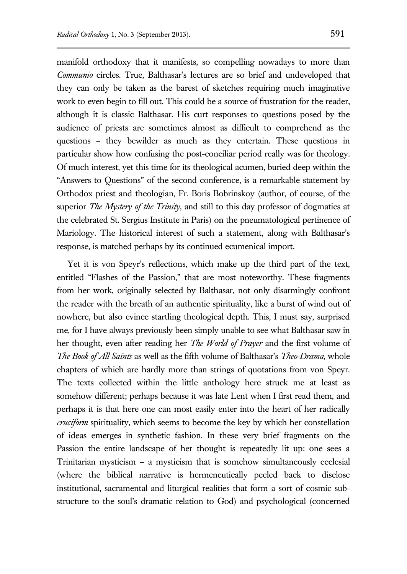manifold orthodoxy that it manifests, so compelling nowadays to more than *Communio* circles. True, Balthasar's lectures are so brief and undeveloped that they can only be taken as the barest of sketches requiring much imaginative work to even begin to fill out. This could be a source of frustration for the reader, although it is classic Balthasar. His curt responses to questions posed by the audience of priests are sometimes almost as difficult to comprehend as the questions – they bewilder as much as they entertain. These questions in particular show how confusing the post-conciliar period really was for theology. Of much interest, yet this time for its theological acumen, buried deep within the "Answers to Questions" of the second conference, is a remarkable statement by Orthodox priest and theologian, Fr. Boris Bobrinskoy (author, of course, of the superior *The Mystery of the Trinity*, and still to this day professor of dogmatics at the celebrated St. Sergius Institute in Paris) on the pneumatological pertinence of Mariology. The historical interest of such a statement, along with Balthasar's response, is matched perhaps by its continued ecumenical import.

Yet it is von Speyr's reflections, which make up the third part of the text, entitled "Flashes of the Passion," that are most noteworthy. These fragments from her work, originally selected by Balthasar, not only disarmingly confront the reader with the breath of an authentic spirituality, like a burst of wind out of nowhere, but also evince startling theological depth. This, I must say, surprised me, for I have always previously been simply unable to see what Balthasar saw in her thought, even after reading her *The World of Prayer* and the first volume of *The Book of All Saints* as well as the fifth volume of Balthasar's *Theo-Drama*, whole chapters of which are hardly more than strings of quotations from von Speyr. The texts collected within the little anthology here struck me at least as somehow different; perhaps because it was late Lent when I first read them, and perhaps it is that here one can most easily enter into the heart of her radically *cruciform* spirituality, which seems to become the key by which her constellation of ideas emerges in synthetic fashion. In these very brief fragments on the Passion the entire landscape of her thought is repeatedly lit up: one sees a Trinitarian mysticism – a mysticism that is somehow simultaneously ecclesial (where the biblical narrative is hermeneutically peeled back to disclose institutional, sacramental and liturgical realities that form a sort of cosmic substructure to the soul's dramatic relation to God) and psychological (concerned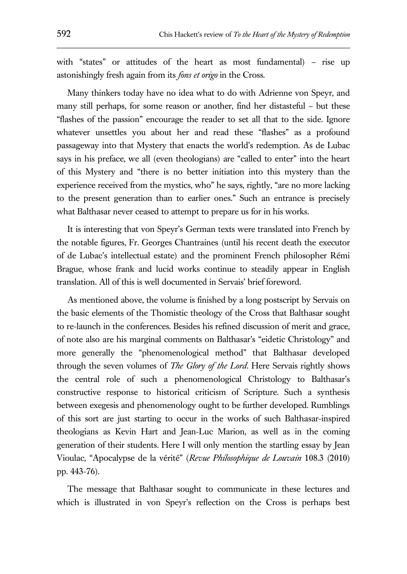with "states" or attitudes of the heart as most fundamental) – rise up astonishingly fresh again from its *fons et origo* in the Cross.

Many thinkers today have no idea what to do with Adrienne von Speyr, and many still perhaps, for some reason or another, find her distasteful – but these "flashes of the passion" encourage the reader to set all that to the side. Ignore whatever unsettles you about her and read these "flashes" as a profound passageway into that Mystery that enacts the world's redemption. As de Lubac says in his preface, we all (even theologians) are "called to enter" into the heart of this Mystery and "there is no better initiation into this mystery than the experience received from the mystics, who" he says, rightly, "are no more lacking to the present generation than to earlier ones." Such an entrance is precisely what Balthasar never ceased to attempt to prepare us for in his works.

It is interesting that von Speyr's German texts were translated into French by the notable figures, Fr. Georges Chantraines (until his recent death the executor of de Lubac's intellectual estate) and the prominent French philosopher Rémi Brague, whose frank and lucid works continue to steadily appear in English translation. All of this is well documented in Servais' brief foreword.

As mentioned above, the volume is finished by a long postscript by Servais on the basic elements of the Thomistic theology of the Cross that Balthasar sought to re-launch in the conferences. Besides his refined discussion of merit and grace, of note also are his marginal comments on Balthasar's "eidetic Christology" and more generally the "phenomenological method" that Balthasar developed through the seven volumes of *The Glory of the Lord*. Here Servais rightly shows the central role of such a phenomenological Christology to Balthasar's constructive response to historical criticism of Scripture. Such a synthesis between exegesis and phenomenology ought to be further developed. Rumblings of this sort are just starting to occur in the works of such Balthasar-inspired theologians as Kevin Hart and Jean-Luc Marion, as well as in the coming generation of their students. Here I will only mention the startling essay by Jean Vioulac, "Apocalypse de la vérité" (*Revue Philosophique de Louvain* 108.3 (2010) pp. 443-76).

The message that Balthasar sought to communicate in these lectures and which is illustrated in von Speyr's reflection on the Cross is perhaps best